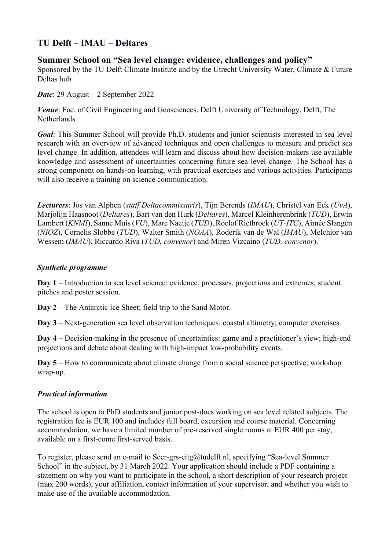## **TU Delft – IMAU – Deltares**

## **Summer School on "Sea level change: evidence, challenges and policy"**

Sponsored by the TU Delft Climate Institute and by the Utrecht University Water, Climate & Future Deltas hub

*Date*: 29 August – 2 September 2022

*Venue*: Fac. of Civil Engineering and Geosciences, Delft University of Technology, Delft, The **Netherlands** 

*Goal*: This Summer School will provide Ph.D. students and junior scientists interested in sea level research with an overview of advanced techniques and open challenges to measure and predict sea level change. In addition, attendees will learn and discuss about how decision-makers use available knowledge and assessment of uncertainties concerning future sea level change. The School has a strong component on hands-on learning, with practical exercises and various activities. Participants will also receive a training on science communication.

*Lecturers*: Jos van Alphen (*staff Deltacommissaris*), Tijn Berends (*IMAU*), Christel van Eck (*UvA*), Marjolijn Haasnoot (*Deltares*), Bart van den Hurk (*Deltares*), Marcel Kleinherenbrink (*TUD*), Erwin Lambert (*KNMI*), Sanne Muis (*VU*), Marc Naeije (*TUD*), Roelof Rietbroek (*UT-ITC*), Aimée Slangen (*NIOZ*), Cornelis Slobbe (*TUD*), Walter Smith (*NOAA*), Roderik van de Wal (*IMAU*), Melchior van Wessem (*IMAU*), Riccardo Riva (*TUD, convenor*) and Miren Vizcaino (*TUD, convenor*).

## *Synthetic programme*

**Day 1** – Introduction to sea level science: evidence, processes, projections and extremes; student pitches and poster session.

**Day 2** – The Antarctic Ice Sheet; field trip to the Sand Motor.

**Day 3** – Next-generation sea level observation techniques: coastal altimetry; computer exercises.

**Day 4** – Decision-making in the presence of uncertainties: game and a practitioner's view; high-end projections and debate about dealing with high-impact low-probability events.

**Day 5** – How to communicate about climate change from a social science perspective; workshop wrap-up.

## *Practical information*

The school is open to PhD students and junior post-docs working on sea level related subjects. The registration fee is EUR 100 and includes full board, excursion and course material. Concerning accommodation, we have a limited number of pre-reserved single rooms at EUR 400 per stay, available on a first-come first-served basis.

To register, please send an e-mail to Secr-grs-citg@tudelft.nl, specifying "Sea-level Summer School" in the subject, by 31 March 2022. Your application should include a PDF containing a statement on why you want to participate in the school, a short description of your research project (max 200 words), your affiliation, contact information of your supervisor, and whether you wish to make use of the available accommodation.